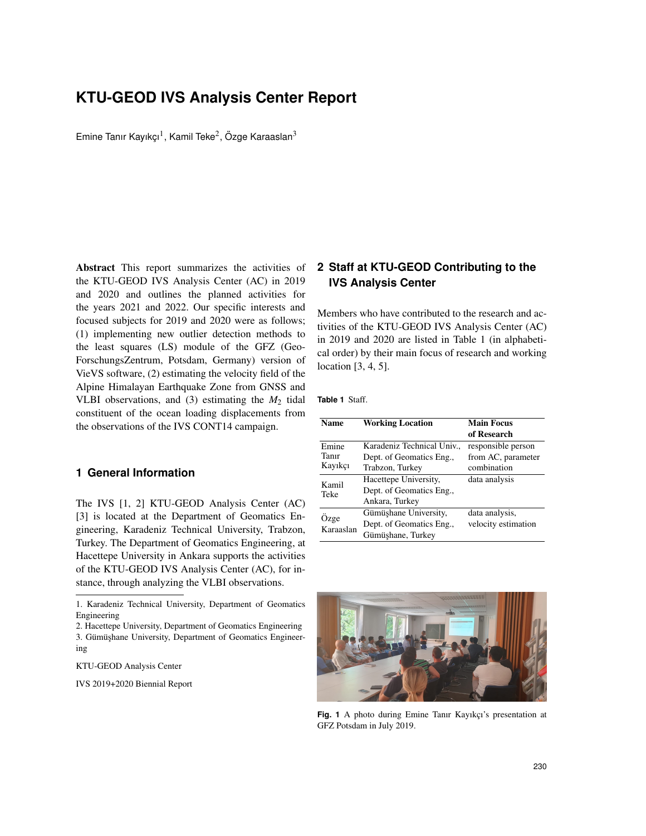# **KTU-GEOD IVS Analysis Center Report**

Emine Tanır Kayıkçı<sup>1</sup>, Kamil Teke<sup>2</sup>, Özge Karaaslan<sup>3</sup>

Abstract This report summarizes the activities of the KTU-GEOD IVS Analysis Center (AC) in 2019 and 2020 and outlines the planned activities for the years 2021 and 2022. Our specific interests and focused subjects for 2019 and 2020 were as follows; (1) implementing new outlier detection methods to the least squares (LS) module of the GFZ (Geo-ForschungsZentrum, Potsdam, Germany) version of VieVS software, (2) estimating the velocity field of the Alpine Himalayan Earthquake Zone from GNSS and VLBI observations, and (3) estimating the *M*<sup>2</sup> tidal constituent of the ocean loading displacements from the observations of the IVS CONT14 campaign.

## **1 General Information**

The IVS [1, 2] KTU-GEOD Analysis Center (AC) [3] is located at the Department of Geomatics Engineering, Karadeniz Technical University, Trabzon, Turkey. The Department of Geomatics Engineering, at Hacettepe University in Ankara supports the activities of the KTU-GEOD IVS Analysis Center (AC), for instance, through analyzing the VLBI observations.

2. Hacettepe University, Department of Geomatics Engineering 3. Gümüşhane University, Department of Geomatics Engineering

KTU-GEOD Analysis Center

IVS 2019+2020 Biennial Report

## **2 Staff at KTU-GEOD Contributing to the IVS Analysis Center**

Members who have contributed to the research and activities of the KTU-GEOD IVS Analysis Center (AC) in 2019 and 2020 are listed in Table 1 (in alphabetical order) by their main focus of research and working location [3, 4, 5].

**Table 1** Staff.

| <b>Name</b>               | <b>Working Location</b>    | <b>Main Focus</b>   |
|---------------------------|----------------------------|---------------------|
|                           |                            | of Research         |
| Emine<br>Tanır<br>Kayıkçı | Karadeniz Technical Univ., | responsible person  |
|                           | Dept. of Geomatics Eng.,   | from AC, parameter  |
|                           | Trabzon, Turkey            | combination         |
| Kamil<br>Teke             | Hacettepe University,      | data analysis       |
|                           | Dept. of Geomatics Eng.,   |                     |
|                           | Ankara, Turkey             |                     |
| Ozge<br>Karaaslan         | Gümüşhane University,      | data analysis,      |
|                           | Dept. of Geomatics Eng.,   | velocity estimation |
|                           | Gümüshane, Turkey          |                     |



Fig. 1 A photo during Emine Tanır Kayıkçı's presentation at GFZ Potsdam in July 2019.

<sup>1.</sup> Karadeniz Technical University, Department of Geomatics Engineering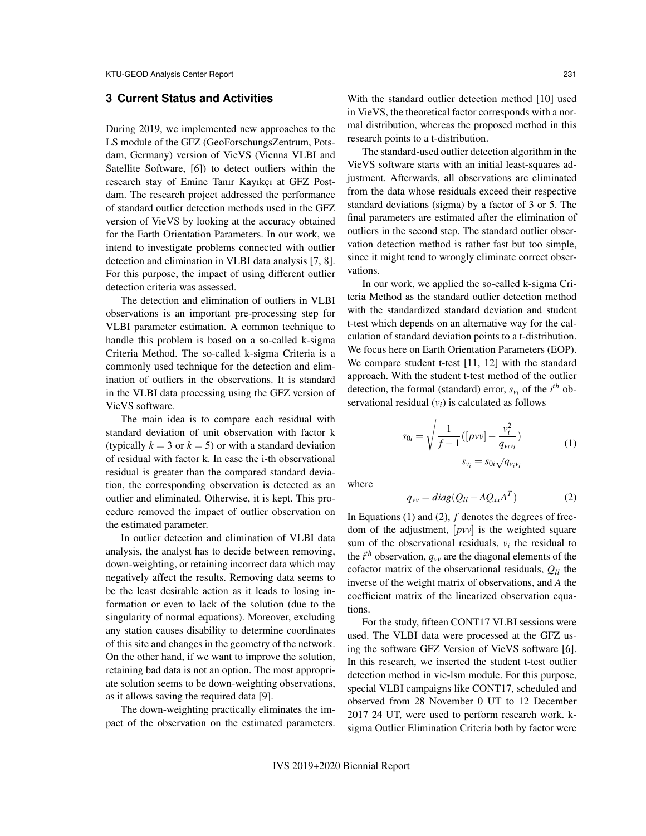## **3 Current Status and Activities**

During 2019, we implemented new approaches to the LS module of the GFZ (GeoForschungsZentrum, Potsdam, Germany) version of VieVS (Vienna VLBI and Satellite Software, [6]) to detect outliers within the research stay of Emine Tanır Kayıkçı at GFZ Postdam. The research project addressed the performance of standard outlier detection methods used in the GFZ version of VieVS by looking at the accuracy obtained for the Earth Orientation Parameters. In our work, we intend to investigate problems connected with outlier detection and elimination in VLBI data analysis [7, 8]. For this purpose, the impact of using different outlier detection criteria was assessed.

The detection and elimination of outliers in VLBI observations is an important pre-processing step for VLBI parameter estimation. A common technique to handle this problem is based on a so-called k-sigma Criteria Method. The so-called k-sigma Criteria is a commonly used technique for the detection and elimination of outliers in the observations. It is standard in the VLBI data processing using the GFZ version of VieVS software.

The main idea is to compare each residual with standard deviation of unit observation with factor k (typically  $k = 3$  or  $k = 5$ ) or with a standard deviation of residual with factor k. In case the i-th observational residual is greater than the compared standard deviation, the corresponding observation is detected as an outlier and eliminated. Otherwise, it is kept. This procedure removed the impact of outlier observation on the estimated parameter.

In outlier detection and elimination of VLBI data analysis, the analyst has to decide between removing, down-weighting, or retaining incorrect data which may negatively affect the results. Removing data seems to be the least desirable action as it leads to losing information or even to lack of the solution (due to the singularity of normal equations). Moreover, excluding any station causes disability to determine coordinates of this site and changes in the geometry of the network. On the other hand, if we want to improve the solution, retaining bad data is not an option. The most appropriate solution seems to be down-weighting observations, as it allows saving the required data [9].

The down-weighting practically eliminates the impact of the observation on the estimated parameters. With the standard outlier detection method [10] used in VieVS, the theoretical factor corresponds with a normal distribution, whereas the proposed method in this research points to a t-distribution.

The standard-used outlier detection algorithm in the VieVS software starts with an initial least-squares adjustment. Afterwards, all observations are eliminated from the data whose residuals exceed their respective standard deviations (sigma) by a factor of 3 or 5. The final parameters are estimated after the elimination of outliers in the second step. The standard outlier observation detection method is rather fast but too simple, since it might tend to wrongly eliminate correct observations.

In our work, we applied the so-called k-sigma Criteria Method as the standard outlier detection method with the standardized standard deviation and student t-test which depends on an alternative way for the calculation of standard deviation points to a t-distribution. We focus here on Earth Orientation Parameters (EOP). We compare student t-test [11, 12] with the standard approach. With the student t-test method of the outlier detection, the formal (standard) error,  $s_{v_i}$  of the  $i^{th}$  observational residual  $(v_i)$  is calculated as follows

$$
s_{0i} = \sqrt{\frac{1}{f-1}([pvv] - \frac{v_i^2}{q_{v_iv_i}})}
$$
  
\n
$$
s_{v_i} = s_{0i}\sqrt{q_{v_iv_i}}
$$
 (1)

where

$$
q_{vv} = diag(Q_{ll} - AQ_{xx}A^T)
$$
 (2)

In Equations (1) and (2), *f* denotes the degrees of freedom of the adjustment, [*pvv*] is the weighted square sum of the observational residuals,  $v_i$  the residual to the  $i^{th}$  observation,  $q_{vv}$  are the diagonal elements of the cofactor matrix of the observational residuals, *Qll* the inverse of the weight matrix of observations, and *A* the coefficient matrix of the linearized observation equations.

For the study, fifteen CONT17 VLBI sessions were used. The VLBI data were processed at the GFZ using the software GFZ Version of VieVS software [6]. In this research, we inserted the student t-test outlier detection method in vie-lsm module. For this purpose, special VLBI campaigns like CONT17, scheduled and observed from 28 November 0 UT to 12 December 2017 24 UT, were used to perform research work. ksigma Outlier Elimination Criteria both by factor were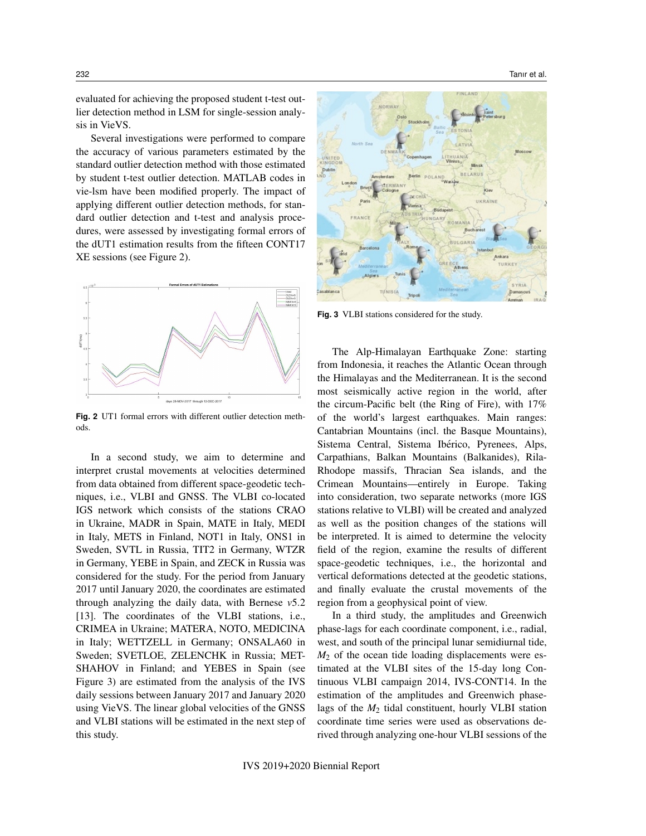evaluated for achieving the proposed student t-test outlier detection method in LSM for single-session analysis in VieVS.

Several investigations were performed to compare the accuracy of various parameters estimated by the standard outlier detection method with those estimated by student t-test outlier detection. MATLAB codes in vie-lsm have been modified properly. The impact of applying different outlier detection methods, for standard outlier detection and t-test and analysis procedures, were assessed by investigating formal errors of the dUT1 estimation results from the fifteen CONT17 XE sessions (see Figure 2).



**Fig. 2** UT1 formal errors with different outlier detection methods.

In a second study, we aim to determine and interpret crustal movements at velocities determined from data obtained from different space-geodetic techniques, i.e., VLBI and GNSS. The VLBI co-located IGS network which consists of the stations CRAO in Ukraine, MADR in Spain, MATE in Italy, MEDI in Italy, METS in Finland, NOT1 in Italy, ONS1 in Sweden, SVTL in Russia, TIT2 in Germany, WTZR in Germany, YEBE in Spain, and ZECK in Russia was considered for the study. For the period from January 2017 until January 2020, the coordinates are estimated through analyzing the daily data, with Bernese *v*5.2 [13]. The coordinates of the VLBI stations, i.e., CRIMEA in Ukraine; MATERA, NOTO, MEDICINA in Italy; WETTZELL in Germany; ONSALA60 in Sweden; SVETLOE, ZELENCHK in Russia; MET-SHAHOV in Finland; and YEBES in Spain (see Figure 3) are estimated from the analysis of the IVS daily sessions between January 2017 and January 2020 using VieVS. The linear global velocities of the GNSS and VLBI stations will be estimated in the next step of this study.



**Fig. 3** VLBI stations considered for the study.

The Alp-Himalayan Earthquake Zone: starting from Indonesia, it reaches the Atlantic Ocean through the Himalayas and the Mediterranean. It is the second most seismically active region in the world, after the circum-Pacific belt (the Ring of Fire), with 17% of the world's largest earthquakes. Main ranges: Cantabrian Mountains (incl. the Basque Mountains), Sistema Central, Sistema Ibérico, Pyrenees, Alps, Carpathians, Balkan Mountains (Balkanides), Rila-Rhodope massifs, Thracian Sea islands, and the Crimean Mountains—entirely in Europe. Taking into consideration, two separate networks (more IGS stations relative to VLBI) will be created and analyzed as well as the position changes of the stations will be interpreted. It is aimed to determine the velocity field of the region, examine the results of different space-geodetic techniques, i.e., the horizontal and vertical deformations detected at the geodetic stations, and finally evaluate the crustal movements of the region from a geophysical point of view.

In a third study, the amplitudes and Greenwich phase-lags for each coordinate component, i.e., radial, west, and south of the principal lunar semidiurnal tide, *M*<sup>2</sup> of the ocean tide loading displacements were estimated at the VLBI sites of the 15-day long Continuous VLBI campaign 2014, IVS-CONT14. In the estimation of the amplitudes and Greenwich phaselags of the *M*<sup>2</sup> tidal constituent, hourly VLBI station coordinate time series were used as observations derived through analyzing one-hour VLBI sessions of the